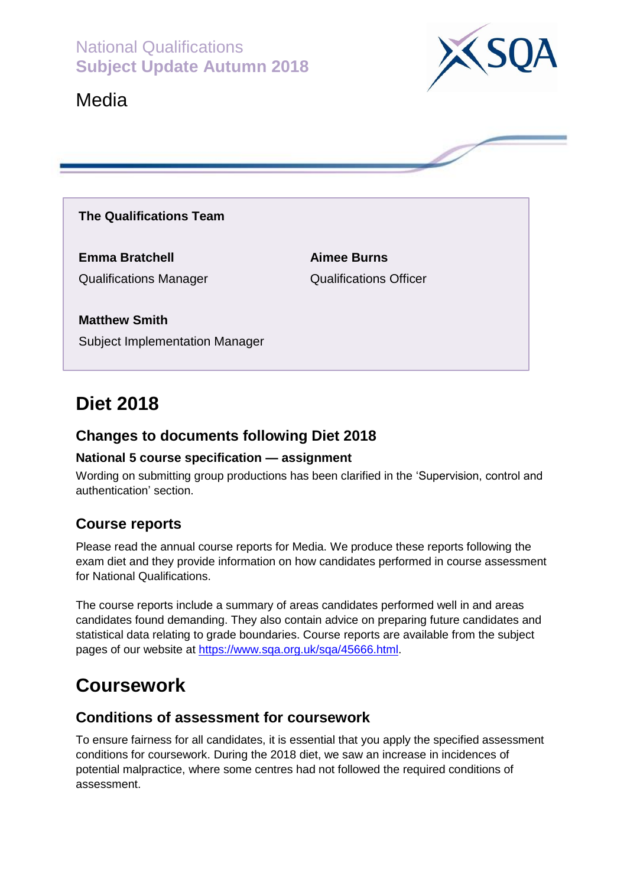National Qualifications **Subject Update Autumn 2018**







#### **The Qualifications Team**

**Emma Bratchell Aimee Burns**

Qualifications Manager Qualifications Officer

**Matthew Smith** Subject Implementation Manager

# **Diet 2018**

#### **Changes to documents following Diet 2018**

#### **National 5 course specification — assignment**

Wording on submitting group productions has been clarified in the 'Supervision, control and authentication' section.

#### **Course reports**

Please read the annual course reports for Media. We produce these reports following the exam diet and they provide information on how candidates performed in course assessment for National Qualifications.

The course reports include a summary of areas candidates performed well in and areas candidates found demanding. They also contain advice on preparing future candidates and statistical data relating to grade boundaries. Course reports are available from the subject pages of our website at [https://www.sqa.org.uk/sqa/45666.html.](https://www.sqa.org.uk/sqa/45666.html)

# **Coursework**

#### **Conditions of assessment for coursework**

To ensure fairness for all candidates, it is essential that you apply the specified assessment conditions for coursework. During the 2018 diet, we saw an increase in incidences of potential malpractice, where some centres had not followed the required conditions of assessment.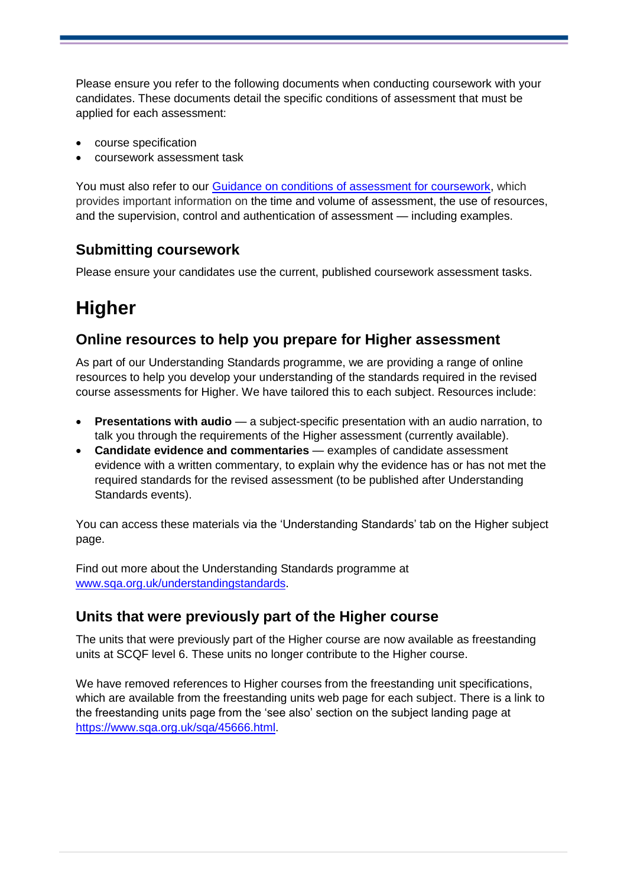Please ensure you refer to the following documents when conducting coursework with your candidates. These documents detail the specific conditions of assessment that must be applied for each assessment:

- course specification
- coursework assessment task

You must also refer to our [Guidance on conditions of assessment for coursework,](http://www.sqa.org.uk/sqa/files_ccc/Guidance_on_conditions_of_assessment_for_coursework.pdf) which provides important information on the time and volume of assessment, the use of resources, and the supervision, control and authentication of assessment — including examples.

## **Submitting coursework**

Please ensure your candidates use the current, published coursework assessment tasks.

# **Higher**

#### **Online resources to help you prepare for Higher assessment**

As part of our Understanding Standards programme, we are providing a range of online resources to help you develop your understanding of the standards required in the revised course assessments for Higher. We have tailored this to each subject. Resources include:

- **Presentations with audio** a subject-specific presentation with an audio narration, to talk you through the requirements of the Higher assessment (currently available).
- **Candidate evidence and commentaries** examples of candidate assessment evidence with a written commentary, to explain why the evidence has or has not met the required standards for the revised assessment (to be published after Understanding Standards events).

You can access these materials via the 'Understanding Standards' tab on the Higher subject page.

Find out more about the Understanding Standards programme at [www.sqa.org.uk/understandingstandards.](http://www.sqa.org.uk/understandingstandards)

### **Units that were previously part of the Higher course**

The units that were previously part of the Higher course are now available as freestanding units at SCQF level 6. These units no longer contribute to the Higher course.

We have removed references to Higher courses from the freestanding unit specifications, which are available from the freestanding units web page for each subject. There is a link to the freestanding units page from the 'see also' section on the subject landing page at [https://www.sqa.org.uk/sqa/45666.html.](https://www.sqa.org.uk/sqa/45666.html)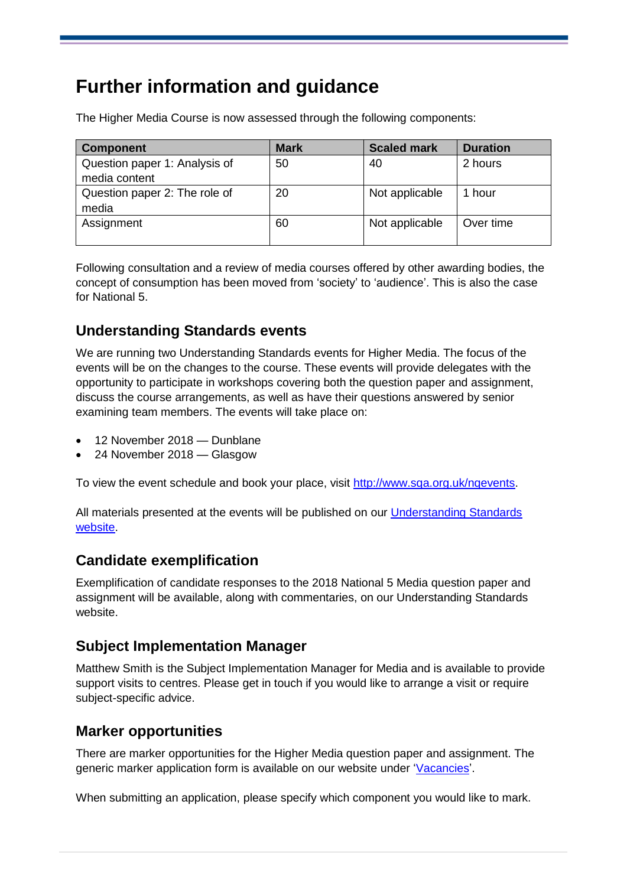# **Further information and guidance**

The Higher Media Course is now assessed through the following components:

| <b>Component</b>                               | <b>Mark</b> | <b>Scaled mark</b> | <b>Duration</b> |
|------------------------------------------------|-------------|--------------------|-----------------|
| Question paper 1: Analysis of<br>media content | 50          | 40                 | 2 hours         |
| Question paper 2: The role of<br>media         | 20          | Not applicable     | 1 hour          |
| Assignment                                     | 60          | Not applicable     | Over time       |

Following consultation and a review of media courses offered by other awarding bodies, the concept of consumption has been moved from 'society' to 'audience'. This is also the case for National 5.

## **Understanding Standards events**

We are running two Understanding Standards events for Higher Media. The focus of the events will be on the changes to the course. These events will provide delegates with the opportunity to participate in workshops covering both the question paper and assignment, discuss the course arrangements, as well as have their questions answered by senior examining team members. The events will take place on:

- 12 November 2018 Dunblane
- 24 November 2018 Glasgow

To view the event schedule and book your place, visit <http://www.sqa.org.uk/nqevents>.

All materials presented at the events will be published on our [Understanding Standards](https://www.understandingstandards.org.uk/)  [website.](https://www.understandingstandards.org.uk/)

### **Candidate exemplification**

Exemplification of candidate responses to the 2018 National 5 Media question paper and assignment will be available, along with commentaries, on our Understanding Standards website.

### **Subject Implementation Manager**

Matthew Smith is the Subject Implementation Manager for Media and is available to provide support visits to centres. Please get in touch if you would like to arrange a visit or require subject-specific advice.

### **Marker opportunities**

There are marker opportunities for the Higher Media question paper and assignment. The generic marker application form is available on our website under ['Vacancies'](https://appointeeopportunities.sqa.org.uk/vacancy/marker-353444.html).

When submitting an application, please specify which component you would like to mark.